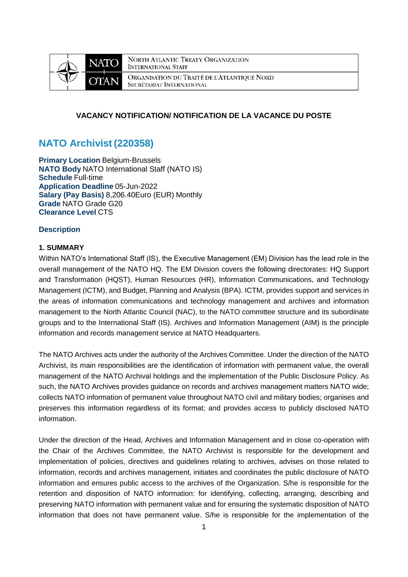

**NORTH ATLANTIC TREATY ORGANIZATION INTERNATIONAL STAFF** ORGANISATION DU TRAITÉ DE L'ATLANTIQUE NORD SECRÉTARIAT INTERNATIONAL

## **VACANCY NOTIFICATION/ NOTIFICATION DE LA VACANCE DU POSTE**

# **NATO Archivist (220358)**

**Primary Location** Belgium-Brussels **NATO Body** NATO International Staff (NATO IS) **Schedule** Full-time **Application Deadline** 05-Jun-2022 **Salary (Pay Basis)** 8,206.40Euro (EUR) Monthly **Grade** NATO Grade G20 **Clearance Level** CTS

## **Description**

## **1. SUMMARY**

Within NATO's International Staff (IS), the Executive Management (EM) Division has the lead role in the overall management of the NATO HQ. The EM Division covers the following directorates: HQ Support and Transformation (HQST), Human Resources (HR), Information Communications, and Technology Management (ICTM), and Budget, Planning and Analysis (BPA). ICTM, provides support and services in the areas of information communications and technology management and archives and information management to the North Atlantic Council (NAC), to the NATO committee structure and its subordinate groups and to the International Staff (IS). Archives and Information Management (AIM) is the principle information and records management service at NATO Headquarters.

The NATO Archives acts under the authority of the Archives Committee. Under the direction of the NATO Archivist, its main responsibilities are the identification of information with permanent value, the overall management of the NATO Archival holdings and the implementation of the Public Disclosure Policy. As such, the NATO Archives provides guidance on records and archives management matters NATO wide; collects NATO information of permanent value throughout NATO civil and military bodies; organises and preserves this information regardless of its format; and provides access to publicly disclosed NATO information.

Under the direction of the Head, Archives and Information Management and in close co-operation with the Chair of the Archives Committee, the NATO Archivist is responsible for the development and implementation of policies, directives and guidelines relating to archives, advises on those related to information, records and archives management, initiates and coordinates the public disclosure of NATO information and ensures public access to the archives of the Organization. S/he is responsible for the retention and disposition of NATO information: for identifying, collecting, arranging, describing and preserving NATO information with permanent value and for ensuring the systematic disposition of NATO information that does not have permanent value. S/he is responsible for the implementation of the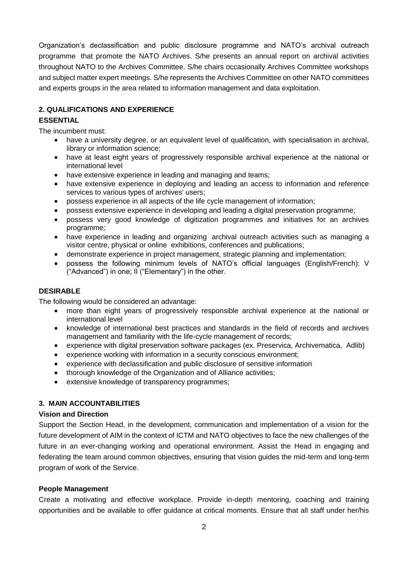Organization's declassification and public disclosure programme and NATO's archival outreach programme that promote the NATO Archives. S/he presents an annual report on archival activities throughout NATO to the Archives Committee. S/he chairs occasionally Archives Committee workshops and subject matter expert meetings. S/he represents the Archives Committee on other NATO committees and experts groups in the area related to information management and data exploitation.

## **2. QUALIFICATIONS AND EXPERIENCE**

## **ESSENTIAL**

The incumbent must:

- have a university degree, or an equivalent level of qualification, with specialisation in archival, library or information science;
- have at least eight years of progressively responsible archival experience at the national or international level
- have extensive experience in leading and managing and teams;
- have extensive experience in deploying and leading an access to information and reference services to various types of archives' users;
- possess experience in all aspects of the life cycle management of information;
- possess extensive experience in developing and leading a digital preservation programme;
- possess very good knowledge of digitization programmes and initiatives for an archives programme;
- have experience in leading and organizing archival outreach activities such as managing a visitor centre, physical or online exhibitions, conferences and publications;
- demonstrate experience in project management, strategic planning and implementation;
- possess the following minimum levels of NATO's official languages (English/French): V ("Advanced") in one; II ("Elementary") in the other.

## **DESIRABLE**

The following would be considered an advantage:

- more than eight years of progressively responsible archival experience at the national or international level
- knowledge of international best practices and standards in the field of records and archives management and familiarity with the life-cycle management of records;
- experience with digital preservation software packages (ex. Preservica, Archivematica, Adlib)
- experience working with information in a security conscious environment;
- experience with declassification and public disclosure of sensitive information
- thorough knowledge of the Organization and of Alliance activities;
- extensive knowledge of transparency programmes;

# **3. MAIN ACCOUNTABILITIES**

## **Vision and Direction**

Support the Section Head, in the development, communication and implementation of a vision for the future development of AIM in the context of ICTM and NATO objectives to face the new challenges of the future in an ever-changing working and operational environment. Assist the Head in engaging and federating the team around common objectives, ensuring that vision guides the mid-term and long-term program of work of the Service.

## **People Management**

Create a motivating and effective workplace. Provide in-depth mentoring, coaching and training opportunities and be available to offer guidance at critical moments. Ensure that all staff under her/his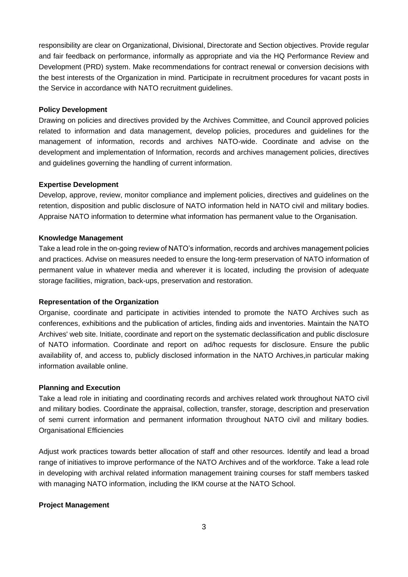responsibility are clear on Organizational, Divisional, Directorate and Section objectives. Provide regular and fair feedback on performance, informally as appropriate and via the HQ Performance Review and Development (PRD) system. Make recommendations for contract renewal or conversion decisions with the best interests of the Organization in mind. Participate in recruitment procedures for vacant posts in the Service in accordance with NATO recruitment guidelines.

#### **Policy Development**

Drawing on policies and directives provided by the Archives Committee, and Council approved policies related to information and data management, develop policies, procedures and guidelines for the management of information, records and archives NATO-wide. Coordinate and advise on the development and implementation of Information, records and archives management policies, directives and guidelines governing the handling of current information.

#### **Expertise Development**

Develop, approve, review, monitor compliance and implement policies, directives and guidelines on the retention, disposition and public disclosure of NATO information held in NATO civil and military bodies. Appraise NATO information to determine what information has permanent value to the Organisation.

#### **Knowledge Management**

Take a lead role in the on-going review of NATO's information, records and archives management policies and practices. Advise on measures needed to ensure the long-term preservation of NATO information of permanent value in whatever media and wherever it is located, including the provision of adequate storage facilities, migration, back-ups, preservation and restoration.

#### **Representation of the Organization**

Organise, coordinate and participate in activities intended to promote the NATO Archives such as conferences, exhibitions and the publication of articles, finding aids and inventories. Maintain the NATO Archives' web site. Initiate, coordinate and report on the systematic declassification and public disclosure of NATO information. Coordinate and report on ad/hoc requests for disclosure. Ensure the public availability of, and access to, publicly disclosed information in the NATO Archives,in particular making information available online.

#### **Planning and Execution**

Take a lead role in initiating and coordinating records and archives related work throughout NATO civil and military bodies. Coordinate the appraisal, collection, transfer, storage, description and preservation of semi current information and permanent information throughout NATO civil and military bodies. Organisational Efficiencies

Adjust work practices towards better allocation of staff and other resources. Identify and lead a broad range of initiatives to improve performance of the NATO Archives and of the workforce. Take a lead role in developing with archival related information management training courses for staff members tasked with managing NATO information, including the IKM course at the NATO School.

## **Project Management**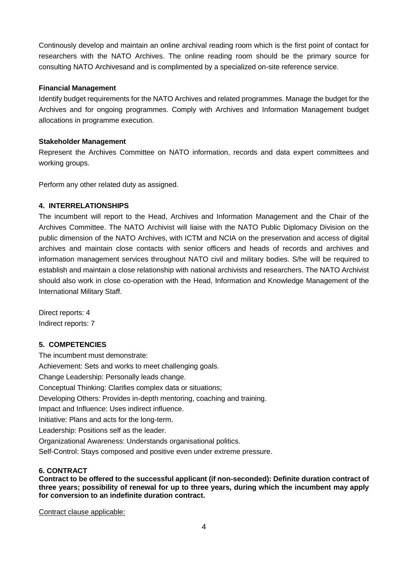Continously develop and maintain an online archival reading room which is the first point of contact for researchers with the NATO Archives. The online reading room should be the primary source for consulting NATO Archivesand and is complimented by a specialized on-site reference service.

## **Financial Management**

Identify budget requirements for the NATO Archives and related programmes. Manage the budget for the Archives and for ongoing programmes. Comply with Archives and Information Management budget allocations in programme execution.

## **Stakeholder Management**

Represent the Archives Committee on NATO information, records and data expert committees and working groups.

Perform any other related duty as assigned.

## **4. INTERRELATIONSHIPS**

The incumbent will report to the Head, Archives and Information Management and the Chair of the Archives Committee. The NATO Archivist will liaise with the NATO Public Diplomacy Division on the public dimension of the NATO Archives, with ICTM and NCIA on the preservation and access of digital archives and maintain close contacts with senior officers and heads of records and archives and information management services throughout NATO civil and military bodies. S/he will be required to establish and maintain a close relationship with national archivists and researchers. The NATO Archivist should also work in close co-operation with the Head, Information and Knowledge Management of the International Military Staff.

Direct reports: 4 Indirect reports: 7

## **5. COMPETENCIES**

The incumbent must demonstrate: Achievement: Sets and works to meet challenging goals. Change Leadership: Personally leads change. Conceptual Thinking: Clarifies complex data or situations; Developing Others: Provides in-depth mentoring, coaching and training. Impact and Influence: Uses indirect influence. Initiative: Plans and acts for the long-term. Leadership: Positions self as the leader. Organizational Awareness: Understands organisational politics. Self-Control: Stays composed and positive even under extreme pressure.

## **6. CONTRACT**

**Contract to be offered to the successful applicant (if non-seconded): Definite duration contract of three years; possibility of renewal for up to three years, during which the incumbent may apply for conversion to an indefinite duration contract.**

Contract clause applicable: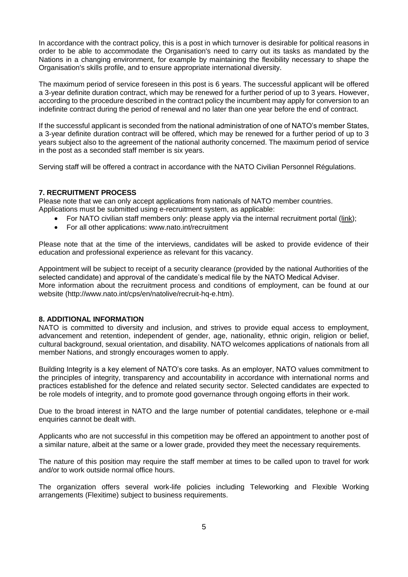In accordance with the contract policy, this is a post in which turnover is desirable for political reasons in order to be able to accommodate the Organisation's need to carry out its tasks as mandated by the Nations in a changing environment, for example by maintaining the flexibility necessary to shape the Organisation's skills profile, and to ensure appropriate international diversity.

The maximum period of service foreseen in this post is 6 years. The successful applicant will be offered a 3-year definite duration contract, which may be renewed for a further period of up to 3 years. However, according to the procedure described in the contract policy the incumbent may apply for conversion to an indefinite contract during the period of renewal and no later than one year before the end of contract.

If the successful applicant is seconded from the national administration of one of NATO's member States, a 3-year definite duration contract will be offered, which may be renewed for a further period of up to 3 years subject also to the agreement of the national authority concerned. The maximum period of service in the post as a seconded staff member is six years.

Serving staff will be offered a contract in accordance with the NATO Civilian Personnel Régulations.

## **7. RECRUITMENT PROCESS**

Please note that we can only accept applications from nationals of NATO member countries. Applications must be submitted using e-recruitment system, as applicable:

- For NATO civilian staff members only: please apply via the internal recruitment portal [\(link\)](https://nato.taleo.net/careersection/1/jobsearch.ftl?lang=en);
- For all other applications: www.nato.int/recruitment

Please note that at the time of the interviews, candidates will be asked to provide evidence of their education and professional experience as relevant for this vacancy.

Appointment will be subject to receipt of a security clearance (provided by the national Authorities of the selected candidate) and approval of the candidate's medical file by the NATO Medical Adviser. More information about the recruitment process and conditions of employment, can be found at our website (http://www.nato.int/cps/en/natolive/recruit-hq-e.htm).

## **8. ADDITIONAL INFORMATION**

NATO is committed to diversity and inclusion, and strives to provide equal access to employment, advancement and retention, independent of gender, age, nationality, ethnic origin, religion or belief, cultural background, sexual orientation, and disability. NATO welcomes applications of nationals from all member Nations, and strongly encourages women to apply.

Building Integrity is a key element of NATO's core tasks. As an employer, NATO values commitment to the principles of integrity, transparency and accountability in accordance with international norms and practices established for the defence and related security sector. Selected candidates are expected to be role models of integrity, and to promote good governance through ongoing efforts in their work.

Due to the broad interest in NATO and the large number of potential candidates, telephone or e-mail enquiries cannot be dealt with.

Applicants who are not successful in this competition may be offered an appointment to another post of a similar nature, albeit at the same or a lower grade, provided they meet the necessary requirements.

The nature of this position may require the staff member at times to be called upon to travel for work and/or to work outside normal office hours.

The organization offers several work-life policies including Teleworking and Flexible Working arrangements (Flexitime) subject to business requirements.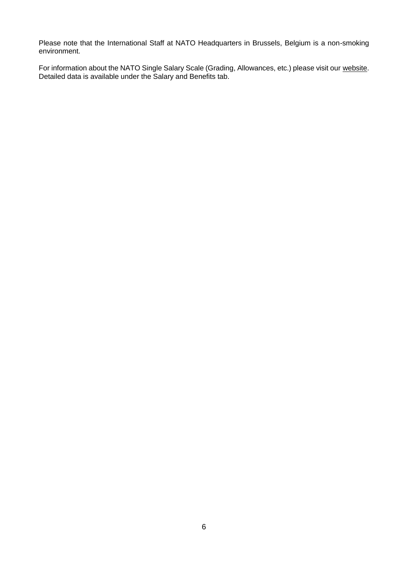Please note that the International Staff at NATO Headquarters in Brussels, Belgium is a non-smoking environment.

For information about the NATO Single Salary Scale (Grading, Allowances, etc.) please visit our [website.](https://www.nato.int/cps/en/natolive/86790.htm) Detailed data is available under the Salary and Benefits tab.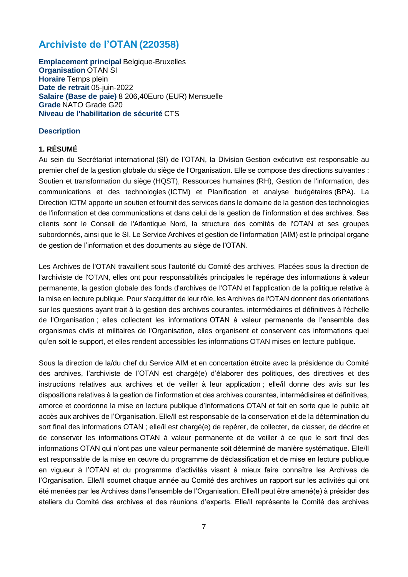# **Archiviste de l'OTAN (220358)**

**Emplacement principal** Belgique-Bruxelles **Organisation** OTAN SI **Horaire** Temps plein **Date de retrait** 05-juin-2022 **Salaire (Base de paie)** 8 206,40Euro (EUR) Mensuelle **Grade** NATO Grade G20 **Niveau de l'habilitation de sécurité** CTS

## **Description**

## **1. RÉSUMÉ**

Au sein du Secrétariat international (SI) de l'OTAN, la Division Gestion exécutive est responsable au premier chef de la gestion globale du siège de l'Organisation. Elle se compose des directions suivantes : Soutien et transformation du siège (HQST), Ressources humaines (RH), Gestion de l'information, des communications et des technologies (ICTM) et Planification et analyse budgétaires (BPA). La Direction ICTM apporte un soutien et fournit des services dans le domaine de la gestion des technologies de l'information et des communications et dans celui de la gestion de l'information et des archives. Ses clients sont le Conseil de l'Atlantique Nord, la structure des comités de l'OTAN et ses groupes subordonnés, ainsi que le SI. Le Service Archives et gestion de l'information (AIM) est le principal organe de gestion de l'information et des documents au siège de l'OTAN.

Les Archives de l'OTAN travaillent sous l'autorité du Comité des archives. Placées sous la direction de l'archiviste de l'OTAN, elles ont pour responsabilités principales le repérage des informations à valeur permanente, la gestion globale des fonds d'archives de l'OTAN et l'application de la politique relative à la mise en lecture publique. Pour s'acquitter de leur rôle, les Archives de l'OTAN donnent des orientations sur les questions ayant trait à la gestion des archives courantes, intermédiaires et définitives à l'échelle de l'Organisation ; elles collectent les informations OTAN à valeur permanente de l'ensemble des organismes civils et militaires de l'Organisation, elles organisent et conservent ces informations quel qu'en soit le support, et elles rendent accessibles les informations OTAN mises en lecture publique.

Sous la direction de la/du chef du Service AIM et en concertation étroite avec la présidence du Comité des archives, l'archiviste de l'OTAN est chargé(e) d'élaborer des politiques, des directives et des instructions relatives aux archives et de veiller à leur application ; elle/il donne des avis sur les dispositions relatives à la gestion de l'information et des archives courantes, intermédiaires et définitives, amorce et coordonne la mise en lecture publique d'informations OTAN et fait en sorte que le public ait accès aux archives de l'Organisation. Elle/Il est responsable de la conservation et de la détermination du sort final des informations OTAN ; elle/il est chargé(e) de repérer, de collecter, de classer, de décrire et de conserver les informations OTAN à valeur permanente et de veiller à ce que le sort final des informations OTAN qui n'ont pas une valeur permanente soit déterminé de manière systématique. Elle/Il est responsable de la mise en œuvre du programme de déclassification et de mise en lecture publique en vigueur à l'OTAN et du programme d'activités visant à mieux faire connaître les Archives de l'Organisation. Elle/Il soumet chaque année au Comité des archives un rapport sur les activités qui ont été menées par les Archives dans l'ensemble de l'Organisation. Elle/Il peut être amené(e) à présider des ateliers du Comité des archives et des réunions d'experts. Elle/Il représente le Comité des archives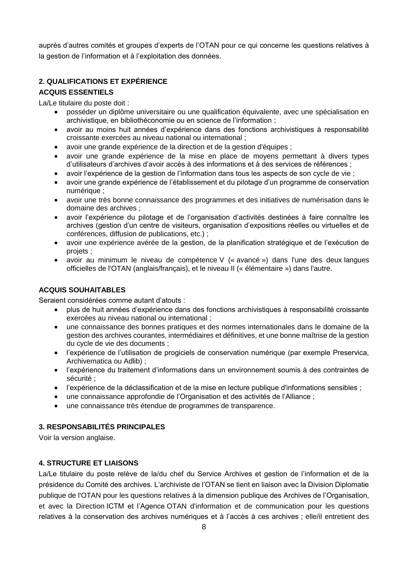auprès d'autres comités et groupes d'experts de l'OTAN pour ce qui concerne les questions relatives à la gestion de l'information et à l'exploitation des données.

# **2. QUALIFICATIONS ET EXPÉRIENCE**

## **ACQUIS ESSENTIELS**

La/Le titulaire du poste doit :

- posséder un diplôme universitaire ou une qualification équivalente, avec une spécialisation en archivistique, en bibliothéconomie ou en science de l'information ;
- avoir au moins huit années d'expérience dans des fonctions archivistiques à responsabilité croissante exercées au niveau national ou international ;
- avoir une grande expérience de la direction et de la gestion d'équipes ;
- avoir une grande expérience de la mise en place de moyens permettant à divers types d'utilisateurs d'archives d'avoir accès à des informations et à des services de références ;
- avoir l'expérience de la gestion de l'information dans tous les aspects de son cycle de vie ;
- avoir une grande expérience de l'établissement et du pilotage d'un programme de conservation numérique ;
- avoir une très bonne connaissance des programmes et des initiatives de numérisation dans le domaine des archives ;
- avoir l'expérience du pilotage et de l'organisation d'activités destinées à faire connaître les archives (gestion d'un centre de visiteurs, organisation d'expositions réelles ou virtuelles et de conférences, diffusion de publications, etc.) ;
- avoir une expérience avérée de la gestion, de la planification stratégique et de l'exécution de projets ;
- avoir au minimum le niveau de compétence V (« avancé ») dans l'une des deux langues officielles de l'OTAN (anglais/français), et le niveau II (« élémentaire ») dans l'autre.

## **ACQUIS SOUHAITABLES**

Seraient considérées comme autant d'atouts :

- plus de huit années d'expérience dans des fonctions archivistiques à responsabilité croissante exercées au niveau national ou international ;
- une connaissance des bonnes pratiques et des normes internationales dans le domaine de la gestion des archives courantes, intermédiaires et définitives, et une bonne maîtrise de la gestion du cycle de vie des documents ;
- l'expérience de l'utilisation de progiciels de conservation numérique (par exemple Preservica, Archivematica ou Adlib) ;
- l'expérience du traitement d'informations dans un environnement soumis à des contraintes de sécurité ;
- l'expérience de la déclassification et de la mise en lecture publique d'informations sensibles ;
- une connaissance approfondie de l'Organisation et des activités de l'Alliance ;
- une connaissance très étendue de programmes de transparence.

## **3. RESPONSABILITÉS PRINCIPALES**

Voir la version anglaise.

## **4. STRUCTURE ET LIAISONS**

La/Le titulaire du poste relève de la/du chef du Service Archives et gestion de l'information et de la présidence du Comité des archives. L'archiviste de l'OTAN se tient en liaison avec la Division Diplomatie publique de l'OTAN pour les questions relatives à la dimension publique des Archives de l'Organisation, et avec la Direction ICTM et l'Agence OTAN d'information et de communication pour les questions relatives à la conservation des archives numériques et à l'accès à ces archives ; elle/il entretient des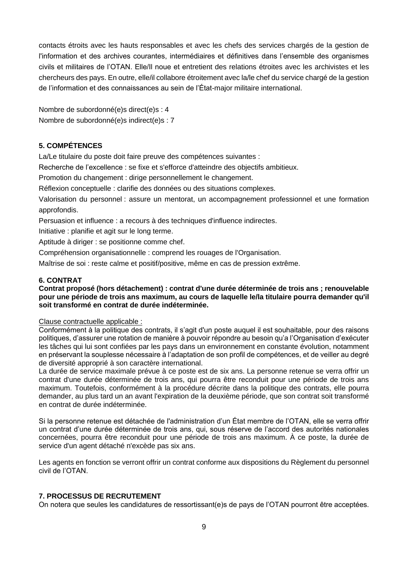contacts étroits avec les hauts responsables et avec les chefs des services chargés de la gestion de l'information et des archives courantes, intermédiaires et définitives dans l'ensemble des organismes civils et militaires de l'OTAN. Elle/Il noue et entretient des relations étroites avec les archivistes et les chercheurs des pays. En outre, elle/il collabore étroitement avec la/le chef du service chargé de la gestion de l'information et des connaissances au sein de l'État-major militaire international.

Nombre de subordonné(e)s direct(e)s : 4 Nombre de subordonné(e)s indirect(e)s : 7

## **5. COMPÉTENCES**

La/Le titulaire du poste doit faire preuve des compétences suivantes :

Recherche de l'excellence : se fixe et s'efforce d'atteindre des objectifs ambitieux.

Promotion du changement : dirige personnellement le changement.

Réflexion conceptuelle : clarifie des données ou des situations complexes.

Valorisation du personnel : assure un mentorat, un accompagnement professionnel et une formation approfondis.

Persuasion et influence : a recours à des techniques d'influence indirectes.

Initiative : planifie et agit sur le long terme.

Aptitude à diriger : se positionne comme chef.

Compréhension organisationnelle : comprend les rouages de l'Organisation.

Maîtrise de soi : reste calme et positif/positive, même en cas de pression extrême.

## **6. CONTRAT**

## **Contrat proposé (hors détachement) : contrat d'une durée déterminée de trois ans ; renouvelable pour une période de trois ans maximum, au cours de laquelle le/la titulaire pourra demander qu'il soit transformé en contrat de durée indéterminée.**

## Clause contractuelle applicable :

Conformément à la politique des contrats, il s'agit d'un poste auquel il est souhaitable, pour des raisons politiques, d'assurer une rotation de manière à pouvoir répondre au besoin qu'a l'Organisation d'exécuter les tâches qui lui sont confiées par les pays dans un environnement en constante évolution, notamment en préservant la souplesse nécessaire à l'adaptation de son profil de compétences, et de veiller au degré de diversité approprié à son caractère international.

La durée de service maximale prévue à ce poste est de six ans. La personne retenue se verra offrir un contrat d'une durée déterminée de trois ans, qui pourra être reconduit pour une période de trois ans maximum. Toutefois, conformément à la procédure décrite dans la politique des contrats, elle pourra demander, au plus tard un an avant l'expiration de la deuxième période, que son contrat soit transformé en contrat de durée indéterminée.

Si la personne retenue est détachée de l'administration d'un État membre de l'OTAN, elle se verra offrir un contrat d'une durée déterminée de trois ans, qui, sous réserve de l'accord des autorités nationales concernées, pourra être reconduit pour une période de trois ans maximum. À ce poste, la durée de service d'un agent détaché n'excède pas six ans.

Les agents en fonction se verront offrir un contrat conforme aux dispositions du Règlement du personnel civil de l'OTAN.

## **7. PROCESSUS DE RECRUTEMENT**

On notera que seules les candidatures de ressortissant(e)s de pays de l'OTAN pourront être acceptées.